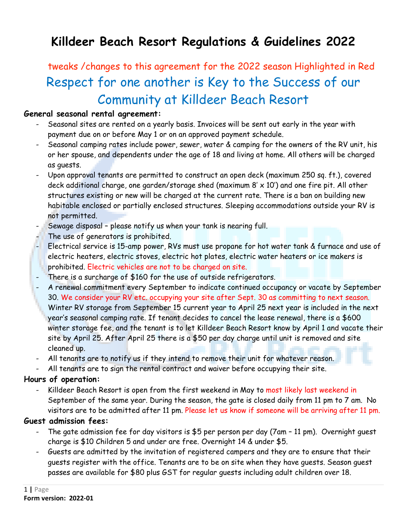# **Killdeer Beach Resort Regulations & Guidelines 2022**

# tweaks /changes to this agreement for the 2022 season Highlighted in Red Respect for one another is Key to the Success of our Community at Killdeer Beach Resort

## **General seasonal rental agreement:**

- Seasonal sites are rented on a yearly basis. Invoices will be sent out early in the year with payment due on or before May 1 or on an approved payment schedule.
- Seasonal camping rates include power, sewer, water & camping for the owners of the RV unit, his or her spouse, and dependents under the age of 18 and living at home. All others will be charged as guests.
- Upon approval tenants are permitted to construct an open deck (maximum 250 sq. ft.), covered deck additional charge, one garden/storage shed (maximum  $8' \times 10'$ ) and one fire pit. All other structures existing or new will be charged at the current rate. There is a ban on building new habitable enclosed or partially enclosed structures. Sleeping accommodations outside your RV is not permitted.
- Sewage disposal please notify us when your tank is nearing full.
- The use of generators is prohibited.
- Electrical service is 15-amp power, RVs must use propane for hot water tank & furnace and use of electric heaters, electric stoves, electric hot plates, electric water heaters or ice makers is prohibited. Electric vehicles are not to be charged on site.
- There is a surcharge of \$160 for the use of outside refrigerators.
- A renewal commitment every September to indicate continued occupancy or vacate by September 30. We consider your RV etc. occupying your site after Sept. 30 as committing to next season. Winter RV storage from September 15 current year to April 25 next year is included in the next year's seasonal camping rate. If tenant decides to cancel the lease renewal, there is a \$600 winter storage fee, and the tenant is to let Killdeer Beach Resort know by April 1 and vacate their site by April 25. After April 25 there is a \$50 per day charge until unit is removed and site cleaned up.
- All tenants are to notify us if they intend to remove their unit for whatever reason.
- All tenants are to sign the rental contract and waiver before occupying their site.

# **Hours of operation:**

- Killdeer Beach Resort is open from the first weekend in May to most likely last weekend in September of the same year. During the season, the gate is closed daily from 11 pm to 7 am. No visitors are to be admitted after 11 pm. Please let us know if someone will be arriving after 11 pm.

# **Guest admission fees:**

- The gate admission fee for day visitors is \$5 per person per day (7am 11 pm). Overnight guest charge is \$10 Children 5 and under are free. Overnight 14 & under \$5.
- Guests are admitted by the invitation of registered campers and they are to ensure that their guests register with the office. Tenants are to be on site when they have guests. Season guest passes are available for \$80 plus GST for regular guests including adult children over 18.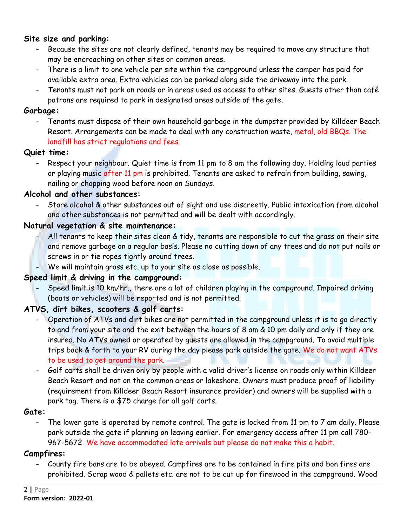## **Site size and parking:**

- Because the sites are not clearly defined, tenants may be required to move any structure that may be encroaching on other sites or common areas.
- There is a limit to one vehicle per site within the campground unless the camper has paid for available extra area. Extra vehicles can be parked along side the driveway into the park.
- Tenants must not park on roads or in areas used as access to other sites. Guests other than café patrons are required to park in designated areas outside of the gate.

## **Garbage:**

- Tenants must dispose of their own household garbage in the dumpster provided by Killdeer Beach Resort. Arrangements can be made to deal with any construction waste, metal, old BBQs. The landfill has strict regulations and fees.

## **Quiet time:**

- Respect your neighbour. Quiet time is from 11 pm to 8 am the following day. Holding loud parties or playing music after 11 pm is prohibited. Tenants are asked to refrain from building, sawing, nailing or chopping wood before noon on Sundays.

## **Alcohol and other substances:**

Store alcohol & other substances out of sight and use discreetly. Public intoxication from alcohol and other substances is not permitted and will be dealt with accordingly.

## **Natural vegetation & site maintenance:**

- All tenants to keep their sites clean & tidy, tenants are responsible to cut the grass on their site and remove garbage on a regular basis. Please no cutting down of any trees and do not put nails or screws in or tie ropes tightly around trees.
- We will maintain grass etc. up to your site as close as possible.

## **Speed limit & driving in the campground:**

- Speed limit is 10 km/hr., there are a lot of children playing in the campground. Impaired driving (boats or vehicles) will be reported and is not permitted.

## **ATVS, dirt bikes, scooters & golf carts:**

- Operation of ATVs and dirt bikes are not permitted in the campground unless it is to go directly to and from your site and the exit between the hours of 8 am & 10 pm daily and only if they are insured. No ATVs owned or operated by guests are allowed in the campground. To avoid multiple trips back & forth to your RV during the day please park outside the gate. We do not want ATVs to be used to get around the park.
- Golf carts shall be driven only by people with a valid driver's license on roads only within Killdeer Beach Resort and not on the common areas or lakeshore. Owners must produce proof of liability (requirement from Killdeer Beach Resort insurance provider) and owners will be supplied with a park tag. There is a \$75 charge for all golf carts.

#### **Gate:**

The lower gate is operated by remote control. The gate is locked from 11 pm to 7 am daily. Please park outside the gate if planning on leaving earlier. For emergency access after 11 pm call 780- 967-5672. We have accommodated late arrivals but please do not make this a habit.

## **Campfires:**

- County fire bans are to be obeyed. Campfires are to be contained in fire pits and bon fires are prohibited. Scrap wood & pallets etc. are not to be cut up for firewood in the campground. Wood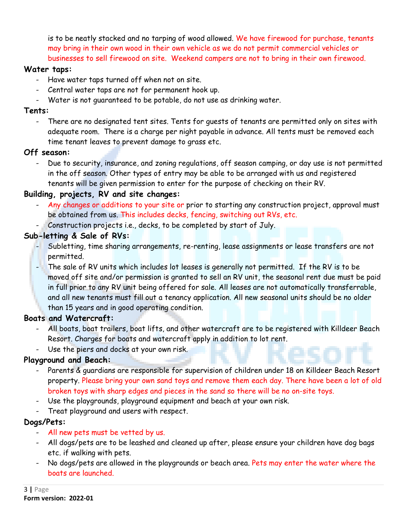is to be neatly stacked and no tarping of wood allowed. We have firewood for purchase, tenants may bring in their own wood in their own vehicle as we do not permit commercial vehicles or businesses to sell firewood on site. Weekend campers are not to bring in their own firewood.

## **Water taps:**

- Have water taps turned off when not on site.
- Central water taps are not for permanent hook up.
- Water is not guaranteed to be potable, do not use as drinking water.

# **Tents:**

- There are no designated tent sites. Tents for guests of tenants are permitted only on sites with adequate room. There is a charge per night payable in advance. All tents must be removed each time tenant leaves to prevent damage to grass etc.

# **Off season:**

- Due to security, insurance, and zoning regulations, off season camping, or day use is not permitted in the off season. Other types of entry may be able to be arranged with us and registered tenants will be given permission to enter for the purpose of checking on their RV.

# **Building, projects, RV and site changes:**

- Any changes or additions to your site or prior to starting any construction project, approval must be obtained from us. This includes decks, fencing, switching out RVs, etc.
- Construction projects i.e., decks, to be completed by start of July.

# **Sub-letting & Sale of RVs:**

- Subletting, time sharing arrangements, re-renting, lease assignments or lease transfers are not permitted.
- The sale of RV units which includes lot leases is generally not permitted. If the RV is to be moved off site and/or permission is granted to sell an RV unit, the seasonal rent due must be paid in full prior to any RV unit being offered for sale. All leases are not automatically transferrable, and all new tenants must fill out a tenancy application. All new seasonal units should be no older than 15 years and in good operating condition.

# **Boats and Watercraft:**

- All boats, boat trailers, boat lifts, and other watercraft are to be registered with Killdeer Beach Resort. Charges for boats and watercraft apply in addition to lot rent.
- Use the piers and docks at your own risk.

# **Playground and Beach:**

- Parents & guardians are responsible for supervision of children under 18 on Killdeer Beach Resort property. Please bring your own sand toys and remove them each day. There have been a lot of old broken toys with sharp edges and pieces in the sand so there will be no on-site toys.
- Use the playgrounds, playground equipment and beach at your own risk.
- Treat playground and users with respect.

# **Dogs/Pets:**

- All new pets must be vetted by us.
- All dogs/pets are to be leashed and cleaned up after, please ensure your children have dog bags etc. if walking with pets.
- No dogs/pets are allowed in the playgrounds or beach area. Pets may enter the water where the boats are launched.